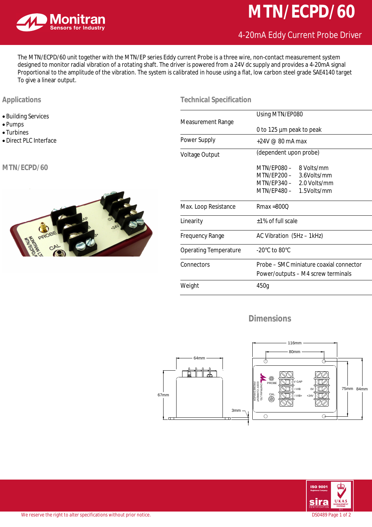

# **MTN/ECPD/60**

## 4-20mA Eddy Current Probe Driver

The MTN/ECPD/60 unit together with the MTN/EP series Eddy current Probe is a three wire, non-contact measurement system designed to monitor radial vibration of a rotating shaft. The driver is powered from a 24V dc supply and provides a 4-20mA signal Proportional to the amplitude of the vibration. The system is calibrated in house using a flat, low carbon steel grade SAE4140 target To give a linear output.

#### **Applications**

- Building Services
- Pumps
- Turbines
- · Direct PLC Interface

#### **MTN/ECPD/60**



| <b>Measurement Range</b>     | Using MTN/EP080                                                                                          |
|------------------------------|----------------------------------------------------------------------------------------------------------|
|                              | 0 to 125 µm peak to peak                                                                                 |
| Power Supply                 | $+24V \ @ \ 80 \text{ mA max}$                                                                           |
| Voltage Output               | (dependent upon probe)                                                                                   |
|                              | MTN/FP080 - 8 Volts/mm<br>MTN/EP200 - 3.6Volts/mm<br>MTN/EP340 - 2.0 Volts/mm<br>MTN/EP480 - 1.5Volts/mm |
| Max. Loop Resistance         | $Rmax = 800$                                                                                             |
| Linearity                    | +1% of full scale                                                                                        |
| <b>Frequency Range</b>       | AC Vibration (5Hz - 1kHz)                                                                                |
| <b>Operating Temperature</b> | -20°C to 80°C                                                                                            |
| Connectors                   | Probe – SMC miniature coaxial connector<br>Power/outputs – M4 screw terminals                            |
| Weight                       | 450g                                                                                                     |

### **Dimensions**